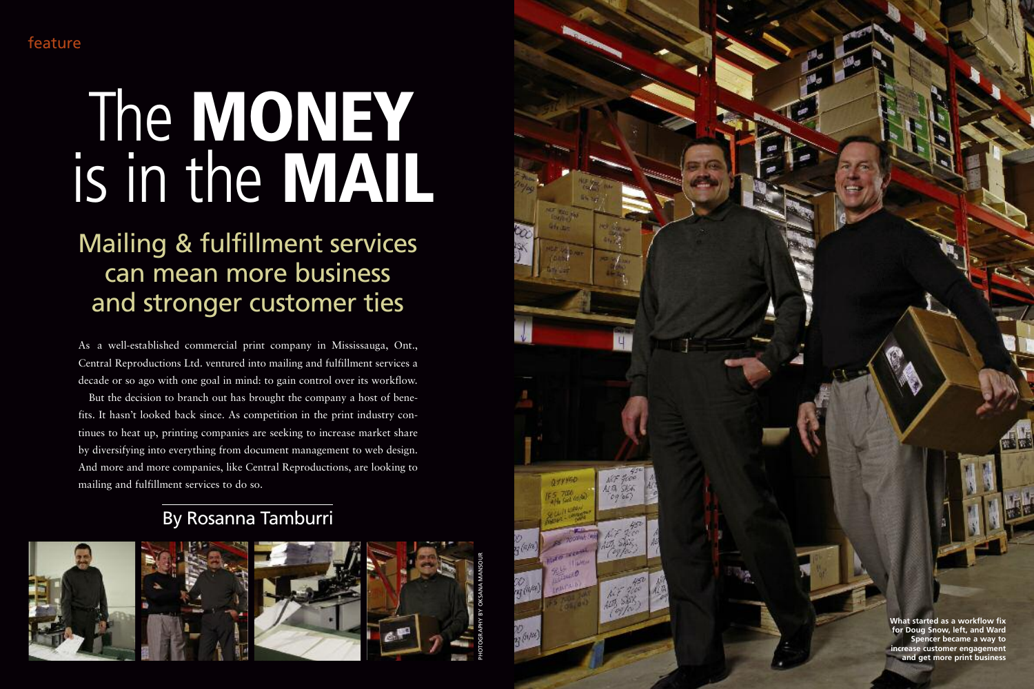As a well-established commercial print company in Mississauga, Ont., Central Reproductions Ltd. ventured into mailing and fulfillment services a decade or so ago with one goal in mind: to gain control over its workflow.

But the decision to branch out has brought the company a host of benefits. It hasn't looked back since. As competition in the print industry continues to heat up, printing companies are seeking to increase market share by diversifying into everything from document management to web design. And more and more companies, like Central Reproductions, are looking to mailing and fulfillment services to do so.

PHOTOGRAPHY BY OKSANA MANSOUR



# Mailing & fulfillment services can mean more business and stronger customer ties

# feature

# By Rosanna Tamburri









# The **MONEY** is in the **MAIL**

**What started as a workflow fix for Doug Snow, left, and Ward Spencer became a way to increase customer engagement and get more print business**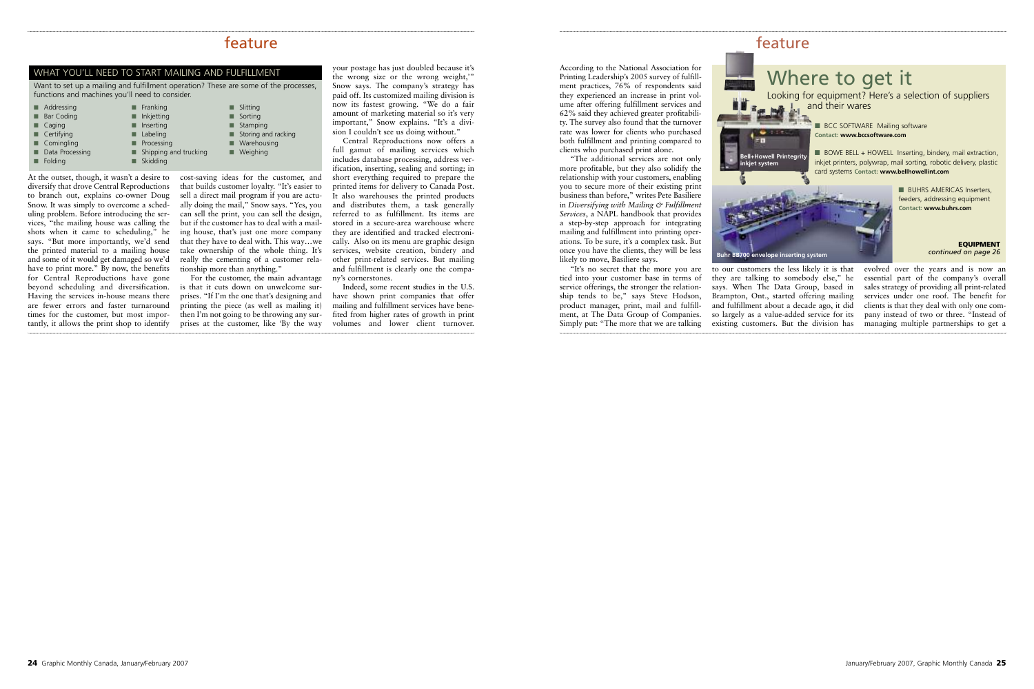According to the National Association for Printing Leadership's 2005 survey of fulfillment practices, 76% of respondents said they experienced an increase in print volume after offering fulfillment services and 62% said they achieved greater profitability. The survey also found that the turnover rate was lower for clients who purchased both fulfillment and printing compared to clients who purchased print alone.

"The additional services are not only more profitable, but they also solidify the relationship with your customers, enabling you to secure more of their existing print business than before," writes Pete Basiliere in *Diversifying with Mailing & Fulfillment Services*, a NAPL handbook that provides a step-by-step approach for integrating mailing and fulfillment into printing operations. To be sure, it's a complex task. But once you have the clients, they will be less likely to move, Basiliere says.

"It's no secret that the more you are tied into your customer base in terms of service offerings, the stronger the relationship tends to be," says Steve Hodson, product manager, print, mail and fulfillment, at The Data Group of Companies. Simply put: "The more that we are talking

they are talking to somebody else," he says. When The Data Group, based in Brampton, Ont., started offering mailing and fulfillment about a decade ago, it did so largely as a value-added service for its existing customers. But the division has evolved over the years and is now an essential part of the company's overall sales strategy of providing all print-related services under one roof. The benefit for clients is that they deal with only one company instead of two or three. "Instead of managing multiple partnerships to get a

At the outset, though, it wasn't a desire to diversify that drove Central Reproductions to branch out, explains co-owner Doug Snow. It was simply to overcome a scheduling problem. Before introducing the services, "the mailing house was calling the shots when it came to scheduling," he says. "But more importantly, we'd send the printed material to a mailing house and some of it would get damaged so we'd have to print more." By now, the benefits for Central Reproductions have gone beyond scheduling and diversification. Having the services in-house means there are fewer errors and faster turnaround times for the customer, but most importantly, it allows the print shop to identify

cost-saving ideas for the customer, and that builds customer loyalty. "It's easier to sell a direct mail program if you are actually doing the mail," Snow says. "Yes, you can sell the print, you can sell the design, but if the customer has to deal with a mailing house, that's just one more company that they have to deal with. This way…we take ownership of the whole thing. It's really the cementing of a customer relationship more than anything."

For the customer, the main advantage is that it cuts down on unwelcome surprises. "If I'm the one that's designing and printing the piece (as well as mailing it) then I'm not going to be throwing any surprises at the customer, like 'By the way



your postage has just doubled because it's the wrong size or the wrong weight,'" Snow says. The company's strategy has paid off. Its customized mailing division is now its fastest growing. "We do a fair amount of marketing material so it's very important," Snow explains. "It's a division I couldn't see us doing without."

Central Reproductions now offers a full gamut of mailing services which includes database processing, address verification, inserting, sealing and sorting; in short everything required to prepare the printed items for delivery to Canada Post. It also warehouses the printed products and distributes them, a task generally referred to as fulfillment. Its items are stored in a secure-area warehouse where they are identified and tracked electronically. Also on its menu are graphic design services, website creation, bindery and other print-related services. But mailing and fulfillment is clearly one the company's cornerstones.

Indeed, some recent studies in the U.S. have shown print companies that offer mailing and fulfillment services have benefited from higher rates of growth in print volumes and lower client turnover.

### feature

| $\blacksquare$ Addressing | $\blacksquare$ Franking   | Slitting                   |
|---------------------------|---------------------------|----------------------------|
| <b>Bar Coding</b>         | Inkjetting                | $\blacksquare$ Sorting     |
| $\blacksquare$ Caging     | Inserting                 | Stamping                   |
| $\blacksquare$ Certifying | $\blacksquare$ Labeling   | Storing and racking        |
| $\blacksquare$ Comingling | $\blacksquare$ Processing | $\blacksquare$ Warehousing |
| Data Processing           | Shipping and trucking     | Weighing                   |
| Folding                   | Skidding                  |                            |

#### WHAT YOU'LL NEED TO START MAILING AND FULFILLMENT

Want to set up a mailing and fulfillment operation? These are some of the processes, functions and machines you'll need to consider.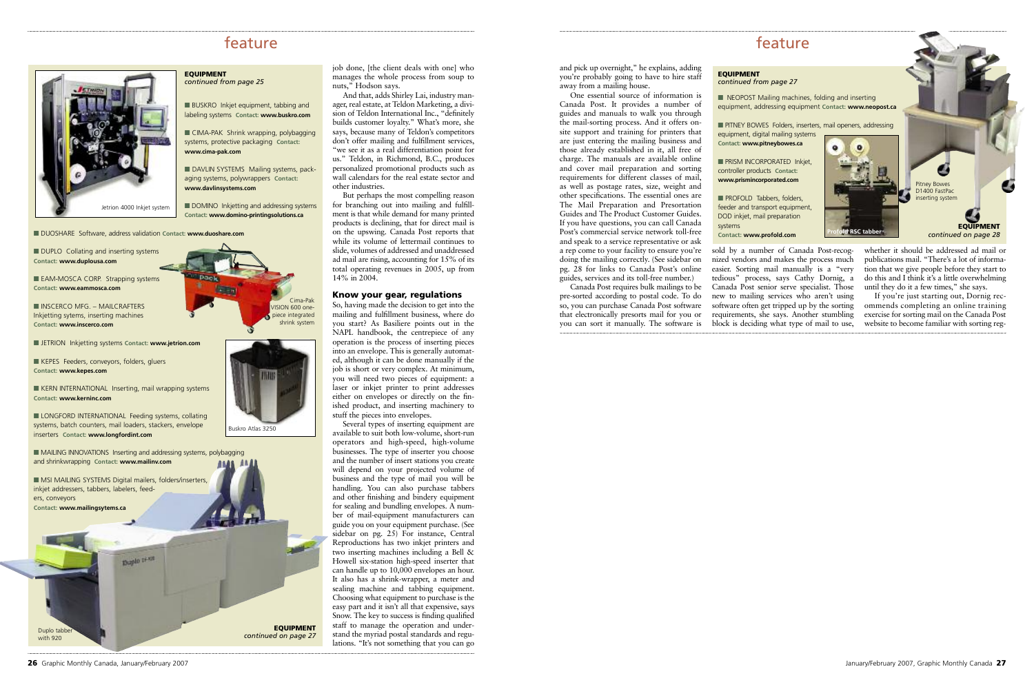and pick up overnight," he explains, adding you're probably going to have to hire staff away from a mailing house.

One essential source of information is Canada Post. It provides a number of guides and manuals to walk you through the mail-sorting process. And it offers onsite support and training for printers that are just entering the mailing business and those already established in it, all free of charge. The manuals are available online and cover mail preparation and sorting requirements for different classes of mail, as well as postage rates, size, weight and other specifications. The essential ones are The Mail Preparation and Presortation Guides and The Product Customer Guides. If you have questions, you can call Canada Post's commercial service network toll-free and speak to a service representative or ask a rep come to your facility to ensure you're doing the mailing correctly. (See sidebar on pg. 28 for links to Canada Post's online guides, services and its toll-free number.)

Canada Post requires bulk mailings to be pre-sorted according to postal code. To do so, you can purchase Canada Post software that electronically presorts mail for you or you can sort it manually. The software is

sold by a number of Canada Post-recognized vendors and makes the process much easier. Sorting mail manually is a "very tedious" process, says Cathy Dornig, a Canada Post senior serve specialist. Those new to mailing services who aren't using software often get tripped up by the sorting requirements, she says. Another stumbling block is deciding what type of mail to use, whether it should be addressed ad mail or publications mail. "There's a lot of information that we give people before they start to do this and I think it's a little overwhelming until they do it a few times," she says.

If you're just starting out, Dornig recommends completing an online training exercise for sorting mail on the Canada Post website to become familiar with sorting reg-

job done, [the client deals with one] who manages the whole process from soup to nuts," Hodson says.

And that, adds Shirley Lai, industry manager, real estate, at Teldon Marketing, a division of Teldon International Inc., "definitely builds customer loyalty." What's more, she says, because many of Teldon's competitors don't offer mailing and fulfillment services, "we see it as a real differentiation point for us." Teldon, in Richmond, B.C., produces personalized promotional products such as wall calendars for the real estate sector and other industries.

■ BUSKRO Inkjet equipment, tabbing and labeling systems **Contact: www.buskro.com**

**■** DAVLIN SYSTEMS Mailing systems, packaging systems, polywrappers **Contact: www.davlinsystems.com**

■ DOMINO Inkjetting and addressing systems **Contact: www.domino-printingsolutions.ca**

■ DUPLO Collating and inserting systems **Contact: www.duplousa.com**

**■** EAM-MOSCA CORP. Strapping systems **Contact: www.eammosca.com**

But perhaps the most compelling reason for branching out into mailing and fulfillment is that while demand for many printed products is declining, that for direct mail is on the upswing. Canada Post reports that while its volume of lettermail continues to slide, volumes of addressed and unaddressed ad mail are rising, accounting for 15% of its total operating revenues in 2005, up from 14% in 2004.

#### **Know your gear, regulations**

■ NEOPOST Mailing machines, folding and inserting equipment, addressing equipment **Contact: www.neopost.ca**

**■ PRISM INCORPORATED Inkjet,** controller products **Contact: www.prismincorporated.com**

■ PROFOLD Tabbers, folders, feeder and transport equipment, DOD inkjet, mail preparation systems **Contact: www.profold.com**

Duplo tabbe with 920

So, having made the decision to get into the mailing and fulfillment business, where do you start? As Basiliere points out in the NAPL handbook, the centrepiece of any operation is the process of inserting pieces into an envelope. This is generally automated, although it can be done manually if the job is short or very complex. At minimum, you will need two pieces of equipment: a laser or inkjet printer to print addresses either on envelopes or directly on the finished product, and inserting machinery to stuff the pieces into envelopes.

**EQUIPMENT** *continued on page 28* 

 $\bullet$ 

Several types of inserting equipment are available to suit both low-volume, short-run operators and high-speed, high-volume businesses. The type of inserter you choose and the number of insert stations you create will depend on your projected volume of business and the type of mail you will be handling. You can also purchase tabbers and other finishing and bindery equipment for sealing and bundling envelopes. A number of mail-equipment manufacturers can guide you on your equipment purchase. (See sidebar on pg. 25) For instance, Central Reproductions has two inkjet printers and two inserting machines including a Bell & Howell six-station high-speed inserter that can handle up to 10,000 envelopes an hour. It also has a shrink-wrapper, a meter and sealing machine and tabbing equipment. Choosing what equipment to purchase is the easy part and it isn't all that expensive, says Snow. The key to success is finding qualified staff to manage the operation and understand the myriad postal standards and regulations. "It's not something that you can go

## feature

**EQUIPMENT**  *continued from page 25*

**■** CIMA-PAK Shrink wrapping, polybagging systems, protective packaging **Contact: www.cima-pak.com**

**■** DUOSHARE Software, address validation **Contact: www.duoshare.com**

**■** INSCERCO MFG. – MAILCRAFTERS Inkjetting sytems, inserting machines **Contact: www.inscerco.com**

**■** JETRION Inkjetting systems **Contact: www.jetrion.com**

**■** KEPES Feeders, conveyors, folders, gluers **Contact: www.kepes.com**

**■** KERN INTERNATIONAL Inserting, mail wrapping systems **Contact: www.kerninc.com**

**■** LONGFORD INTERNATIONAL Feeding systems, collating systems, batch counters, mail loaders, stackers, envelope inserters **Contact: www.longfordint.com**



#### **EQUIPMENT**  *continued from page 27*

equipment, digital mailing systems **Contact: www.pitneybowes.ca**



Buskro Atlas 3250

**■** PITNEY BOWES Folders, inserters, mail openers, addressing







Pitney Bowes D<sub>1400</sub> FastPac inserting system

**EQUIPMENT** *continued on page 27*

## feature